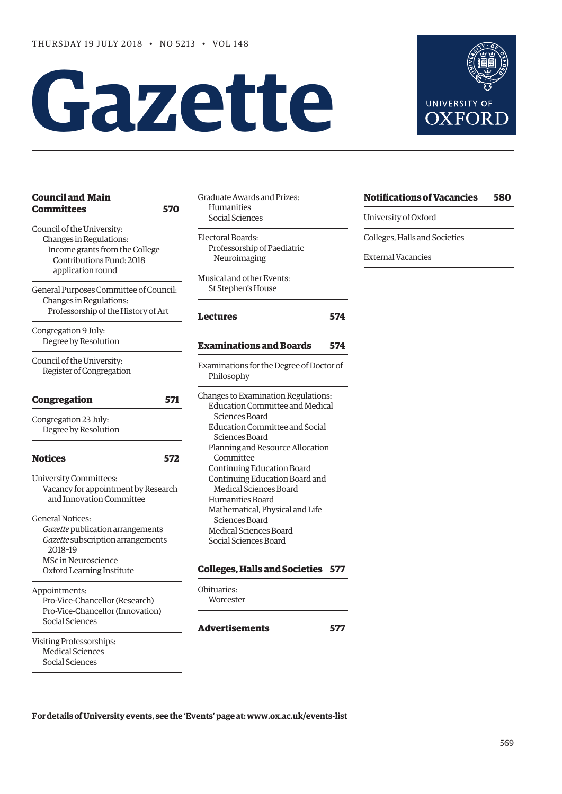# **Gazette**

| <b>Council and Main</b><br>Committees                                                                               | Graduate Awards and Prizes:<br>Humanities<br>570<br>Social Sciences                               |
|---------------------------------------------------------------------------------------------------------------------|---------------------------------------------------------------------------------------------------|
| Council of the University:<br>Changes in Regulations:<br>Income grants from the College<br>Contributions Fund: 2018 | Electoral Boards:<br>Professorship of Paediatri<br>Neuroimaging                                   |
| application round<br>General Purposes Committee of Council:                                                         | Musical and other Events:<br>St Stephen's House                                                   |
| Changes in Regulations:<br>Professorship of the History of Art                                                      | Lectures                                                                                          |
| Congregation 9 July:<br>Degree by Resolution                                                                        | <b>Examinations and Boar</b>                                                                      |
| Council of the University:<br>Register of Congregation                                                              | Examinations for the Degree<br>Philosophy                                                         |
| <b>Congregation</b>                                                                                                 | Changes to Examination Reg<br>571<br><b>Education Committee and</b>                               |
| Congregation 23 July:<br>Degree by Resolution                                                                       | Sciences Board<br><b>Education Committee and</b><br>Sciences Board                                |
| <b>Notices</b>                                                                                                      | Planning and Resource Al<br>572<br>Committee                                                      |
| <b>University Committees:</b><br>Vacancy for appointment by Research<br>and Innovation Committee                    | Continuing Education Bo.<br>Continuing Education Bo<br>Medical Sciences Board<br>Humanities Board |
| <b>General Notices:</b><br>Gazette publication arrangements<br>Gazette subscription arrangements<br>2018-19         | Mathematical, Physical ar<br>Sciences Board<br>Medical Sciences Board<br>Social Sciences Board    |
| <b>MSc in Neuroscience</b><br>Oxford Learning Institute                                                             | <b>Colleges, Halls and Soci</b>                                                                   |
| Appointments:<br>Pro-Vice-Chancellor (Research)<br>Pro-Vice-Chancellor (Innovation)                                 | Obituaries:<br>Worcester                                                                          |
| Social Sciences                                                                                                     | Advertisements                                                                                    |
| <b>Visiting Professorships:</b><br><b>Medical Sciences</b><br>Social Sciences                                       |                                                                                                   |

| Social Sciences                                        |     |
|--------------------------------------------------------|-----|
| Electoral Boards:<br>Professorship of Paediatric       |     |
| Neuroimaging                                           |     |
| Musical and other Events:                              |     |
| St Stephen's House                                     |     |
| Lectures                                               | 574 |
| <b>Examinations and Boards</b>                         | 574 |
| Examinations for the Degree of Doctor of<br>Philosophy |     |

| Changes to Examination Regulations: |
|-------------------------------------|
| Education Committee and Medical     |
| Sciences Board                      |
| Education Committee and Social      |
| Sciences Board                      |
| Planning and Resource Allocation    |
| Committee                           |
| Continuing Education Board          |
| Continuing Education Board and      |
| Medical Sciences Board              |
| Humanities Board                    |
| Mathematical, Physical and Life     |
| Sciences Board                      |
| <b>Medical Sciences Board</b>       |
| Social Sciences Board               |
|                                     |

#### **[Colleges, Halls and Societies](#page-8-0) 577**

```
oituaries:
Worcester
```
#### **[Advertisements](#page-8-0) 577**

| UAFURD |
|--------|
|        |
|        |
|        |
|        |

**UNIVERSITY OF**  $\overline{X}$  $\Gamma$ 

| <b>Notifications of Vacancies</b> | 580 |
|-----------------------------------|-----|
| University of Oxford              |     |
| Colleges, Halls and Societies     |     |

External Vacancies

**[Lectures](#page-5-0) 574**

**[Examinations and Boards](#page-5-0) 574**

**For details of University events, see the 'Events' page at: [www.ox.ac.uk/events-list](http://www.ox.ac.uk/events-list)**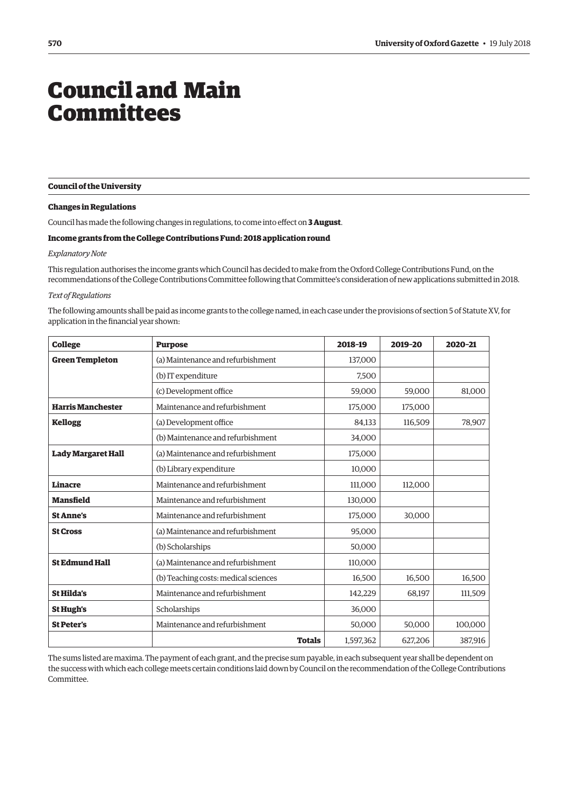## <span id="page-1-0"></span>Council and Main Committees

**Council of the University** 

#### **Changes in Regulations**

Council has made the following changes in regulations, to come into effect on **3 August**.

#### **Income grants from the College Contributions Fund: 2018 application round**

#### *Explanatory Note*

This regulation authorises the income grants which Council has decided to make from the Oxford College Contributions Fund, on the recommendations of the College Contributions Committee following that Committee's consideration of new applications submitted in 2018.

#### *Text of Regulations*

The following amounts shall be paid as income grants to the college named, in each case under the provisions of section 5 of Statute XV, for application in the financial year shown:

| <b>College</b>            | <b>Purpose</b>                       | 2018-19   | 2019-20 | 2020-21 |
|---------------------------|--------------------------------------|-----------|---------|---------|
| <b>Green Templeton</b>    | (a) Maintenance and refurbishment    | 137,000   |         |         |
|                           | (b) IT expenditure                   | 7,500     |         |         |
|                           | (c) Development office               | 59.000    | 59.000  | 81,000  |
| <b>Harris Manchester</b>  | Maintenance and refurbishment        | 175,000   | 175,000 |         |
| <b>Kellogg</b>            | (a) Development office               | 84,133    | 116,509 | 78,907  |
|                           | (b) Maintenance and refurbishment    | 34,000    |         |         |
| <b>Lady Margaret Hall</b> | (a) Maintenance and refurbishment    | 175,000   |         |         |
|                           | (b) Library expenditure              | 10,000    |         |         |
| <b>Linacre</b>            | Maintenance and refurbishment        | 111,000   | 112,000 |         |
| <b>Mansfield</b>          | Maintenance and refurbishment        | 130,000   |         |         |
| <b>St Anne's</b>          | Maintenance and refurbishment        | 175,000   | 30,000  |         |
| <b>St Cross</b>           | (a) Maintenance and refurbishment    | 95,000    |         |         |
|                           | (b) Scholarships                     | 50,000    |         |         |
| <b>St Edmund Hall</b>     | (a) Maintenance and refurbishment    | 110,000   |         |         |
|                           | (b) Teaching costs: medical sciences | 16,500    | 16,500  | 16,500  |
| <b>St Hilda's</b>         | Maintenance and refurbishment        | 142,229   | 68,197  | 111,509 |
| <b>St Hugh's</b>          | Scholarships                         | 36,000    |         |         |
| <b>St Peter's</b>         | Maintenance and refurbishment        | 50,000    | 50,000  | 100,000 |
|                           | <b>Totals</b>                        | 1,597,362 | 627,206 | 387,916 |

The sums listed are maxima. The payment of each grant, and the precise sum payable, in each subsequent year shall be dependent on the success with which each college meets certain conditions laid down by Council on the recommendation of the College Contributions Committee.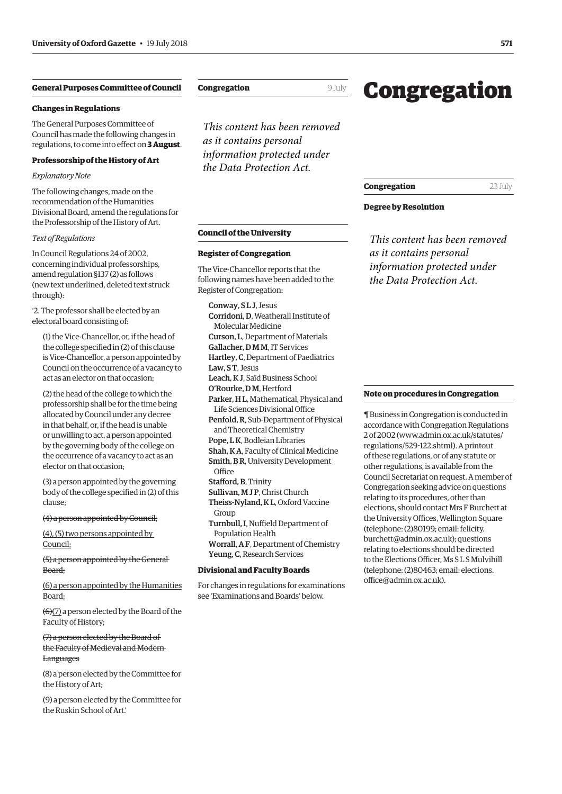#### <span id="page-2-0"></span>**General Purposes Committee of Council**

#### **Changes in Regulations**

The General Purposes Committee of Council has made the following changes in regulations, to come into effect on **3 August**.

#### **Professorship of the History of Art**

#### *Explanatory Note*

The following changes, made on the recommendation of the Humanities Divisional Board, amend the regulations for the Professorship of the History of Art.

#### *Text of Regulations*

In Council Regulations 24 of 2002, concerning individual professorships, amend regulation §137 (2) as follows (new text underlined, deleted text struck through):

'2. The professor shall be elected by an electoral board consisting of:

(1) the Vice-Chancellor, or, if the head of the college specified in (2) of this clause is Vice-Chancellor, a person appointed by Council on the occurrence of a vacancy to act as an elector on that occasion;

(2) the head of the college to which the professorship shall be for the time being allocated by Council under any decree in that behalf, or, if the head is unable or unwilling to act, a person appointed by the governing body of the college on the occurrence of a vacancy to act as an elector on that occasion;

(3) a person appointed by the governing body of the college specified in (2) of this clause;

#### (4) a person appointed by Council;

(4), (5) two persons appointed by Council;

(5) a person appointed by the General Board;

(6) a person appointed by the Humanities Board;

(6)(7) a person elected by the Board of the Faculty of History;

#### (7) a person elected by the Board of the Faculty of Medieval and Modern **Languages**

(8) a person elected by the Committee for the History of Art;

(9) a person elected by the Committee for the Ruskin School of Art.'

#### **Congregation** 9 July

*This content has been removed as it contains personal information protected under the Data Protection Act.*

**Council of the University** 

**Register of Congregation**

Register of Congregation: Conway, S L J, Jesus

Law, S T, Jesus

**Office** 

Group

Stafford, B, Trinity

Population Health

Yeung, C, Research Services **Divisional and Faculty Boards** 

Molecular Medicine

The Vice-Chancellor reports that the following names have been added to the

Corridoni, D, Weatherall Institute of

Curson, L, Department of Materials Gallacher, D M M, IT Services Hartley, C, Department of Paediatrics

Leach, K J, Saïd Business School O'Rourke, D M, Hertford

and Theoretical Chemistry Pope, L K, Bodleian Libraries

Sullivan, M J P, Christ Church Theiss-Nyland, K L, Oxford Vaccine

Turnbull, I, Nuffield Department of

Worrall, A F, Department of Chemistry

For changes in regulations for examinations see 'Examinations and Boards' below.

Parker, H L, Mathematical, Physical and Life Sciences Divisional Office Penfold, R, Sub-Department of Physical

Shah, K A, Faculty of Clinical Medicine Smith, B R, University Development

## Congregation

#### **Congregation** 23 July

#### **Degree by Resolution**

*This content has been removed as it contains personal information protected under the Data Protection Act.*

#### **Note on procedures in Congregation**

¶ Business in Congregation is conducted in accordance with Congregation Regulations 2 of 2002 [\(www.admin.ox.ac.uk/statutes/](http://www.admin.ox.ac.uk/statutes/regulations/529-122.shtml) [regulations/529-122.shtml\). A p](http://www.admin.ox.ac.uk/statutes/regulations/529-122.shtml)rintout of these regulations, or of any statute or other regulations, is available from the Council Secretariat on request. A member of Congregation seeking advice on questions relating to its procedures, other than elections, should contact Mrs F Burchett at the University Offices, Wellington Square (telephone: (2)80199; email: felicity. [burchett@admin.ox.ac.uk\); questions](mailto:felicity.burchett@admin.ox.ac.uk)  relating to elections should be directed to the Elections Officer, Ms S L S Mulvihill [\(telephone: \(2\)80463; email: elections.](mailto:elections.office@admin.ox.ac.uk) office@admin.ox.ac.uk).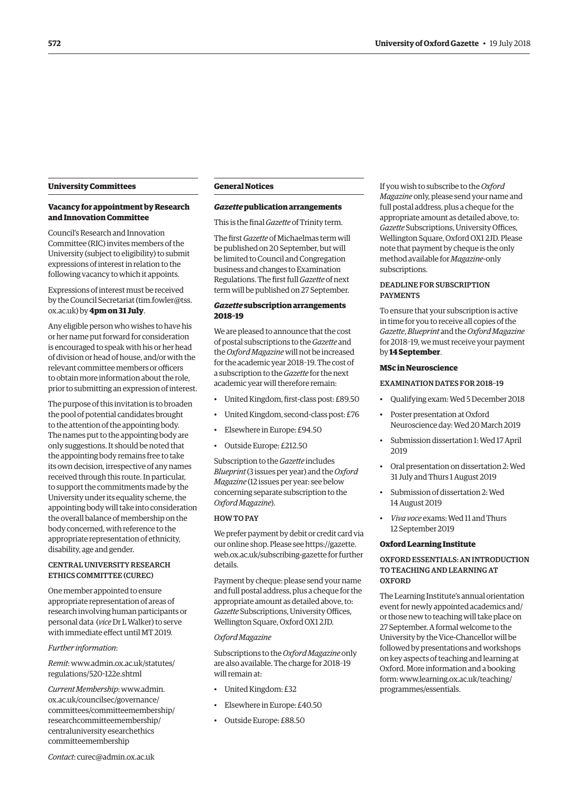#### <span id="page-3-0"></span>**University Committees**

#### **Vacancy for appointment by Research and Innovation Committee**

Council's Research and Innovation Committee (RIC) invites members of the University (subject to eligibility) to submit expressions of interest in relation to the following vacancy to which it appoints.

Expressions of interest must be received by the Council Secretariat ([tim.fowler@tss.](mailto:tim.fowler@tss.ox.ac.uk) [ox.ac.uk\) by](mailto:tim.fowler@tss.ox.ac.uk) **4pm on 31 July**.

Any eligible person who wishes to have his or her name put forward for consideration is encouraged to speak with his or her head of division or head of house, and/or with the relevant committee members or officers to obtain more information about the role, prior to submitting an expression of interest.

The purpose of this invitation is to broaden the pool of potential candidates brought to the attention of the appointing body. The names put to the appointing body are only suggestions. It should be noted that the appointing body remains free to take its own decision, irrespective of any names received through this route. In particular, to support the commitments made by the University under its equality scheme, the appointing body will take into consideration the overall balance of membership on the body concerned, with reference to the appropriate representation of ethnicity, disability, age and gender.

#### CENTRAL UNIVERSITY RESEARCH ETHICS COMMITTEE (CUREC)

One member appointed to ensure appropriate representation of areas of research involving human participants or personal data (*vice* Dr L Walker) to serve with immediate effect until MT 2019.

#### *Further information*:

*Remit*[: www.admin.ox.ac.uk/statutes/](www.admin.ox.ac.uk/statutes/regulations/520-122e.shtml) regulations/520-122e.shtml

*Current Membership*: www.admin. ox.ac.uk/councilsec/governance/ [committees/committeemembership/](www.admin.ox.ac.uk/councilsec/governance/committees/committeemembership/researchcommitteemembership/centraluniversityresearchethicscommitteemembership)  researchcommitteemembership/ centraluniversity esearchethics committeemembership

#### **General Notices**

#### *Gazette* **publication arrangements**

This is the final *Gazette* of Trinity term.

The first *Gazette* of Michaelmas term will be published on 20 September, but will be limited to Council and Congregation business and changes to Examination Regulations. The first full *Gazette* of next term will be published on 27 September.

#### *Gazette* **subscription arrangements 2018–19**

We are pleased to announce that the cost of postal subscriptions to the *Gazette* and the *Oxford Magazine* will not be increased for the academic year 2018–19. The cost of a subscription to the *Gazette* for the next academic year will therefore remain:

- United Kingdom, first-class post: £89.50
- United Kingdom, second-class post: £76
- Elsewhere in Europe: £94.50
- Outside Europe: £212.50

Subscription to the *Gazette* includes *Blueprint* (3 issues per year) and the *Oxford Magazine* (12 issues per year: see below concerning separate subscription to the *Oxford Magazine*).

#### HOW TO PAY

We prefer payment by debit or credit card via our online shop. Please see https://gazette. [web.ox.ac.uk/subscribing-gazette for further](https://gazette.web.ox.ac.uk/subscribing-gazette)  details.

Payment by cheque: please send your name and full postal address, plus a cheque for the appropriate amount as detailed above, to: *Gazette* Subscriptions, University Offices, Wellington Square, Oxford OX1 2JD.

#### *Oxford Magazine*

Subscriptions to the *Oxford Magazine* only are also available. The charge for 2018–19 will remain at:

- United Kingdom: £32
- Elsewhere in Europe: £40.50
- Outside Europe: £88.50

If you wish to subscribe to the *Oxford Magazine* only, please send your name and full postal address, plus a cheque for the appropriate amount as detailed above, to: *Gazette* Subscriptions, University Offices, Wellington Square, Oxford OX1 2JD. Please note that payment by cheque is the only method available for *Magazine*-only subscriptions.

#### DEADLINE FOR SUBSCRIPTION PAYMENTS

To ensure that your subscription is active in time for you to receive all copies of the *Gazette*, *Blueprint* and the *Oxford Magazine* for 2018–19, we must receive your payment by **14 September**.

#### **MSc in Neuroscience**

EXAMINATION DATES FOR 2018–19

- Qualifying exam: Wed 5 December 2018
- Poster presentation at Oxford Neuroscience day: Wed 20 March 2019
- Submission dissertation 1: Wed 17 April 2019
- Oral presentation on dissertation 2: Wed 31 July and Thurs 1 August 2019
- Submission of dissertation 2: Wed 14 August 2019
- *Viva voce* exams: Wed 11 and Thurs 12 September 2019

#### **Oxford Learning Institute**

#### OXFORD ESSENTIALS: AN INTRODUCTION TO TEACHING AND LEARNING AT **OXFORD**

The Learning Institute's annual orientation event for newly appointed academics and/ or those new to teaching will take place on 27 September. A formal welcome to the University by the Vice-Chancellor will be followed by presentations and workshops on key aspects of teaching and learning at Oxford. More information and a booking [form: www.learning.ox.ac.uk/teaching/](www.learning.ox.ac.uk/teaching/programmes/essentials) programmes/essentials.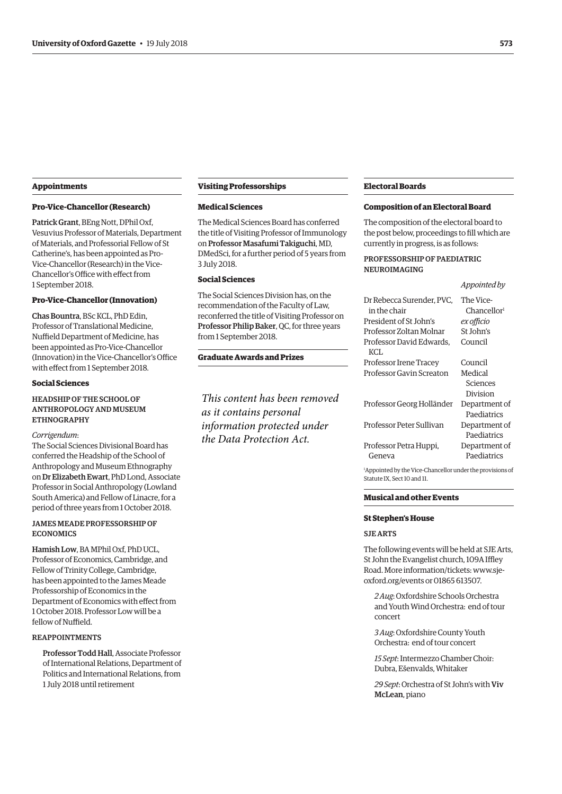#### **Appointments**

#### **Pro-Vice-Chancellor (Research)**

Patrick Grant, BEng Nott, DPhil Oxf, Vesuvius Professor of Materials, Department of Materials, and Professorial Fellow of St Catherine's, has been appointed as Pro-Vice-Chancellor (Research) in the Vice-Chancellor's Office with effect from 1 September 2018.

#### **Pro-Vice-Chancellor (Innovation)**

Chas Bountra, BSc KCL, PhD Edin, Professor of Translational Medicine, Nuffield Department of Medicine, has been appointed as Pro-Vice-Chancellor (Innovation) in the Vice-Chancellor's Office with effect from 1 September 2018.

#### **Social Sciences**

#### HEADSHIP OF THE SCHOOL OF ANTHROPOLOGY AND MUSEUM ETHNOGRAPHY

#### *Corrigendum*:

The Social Sciences Divisional Board has conferred the Headship of the School of Anthropology and Museum Ethnography on Dr Elizabeth Ewart, PhD Lond, Associate Professor in Social Anthropology (Lowland South America) and Fellow of Linacre, for a period of three years from 1 October 2018.

#### JAMES MEADE PROFESSORSHIP OF **ECONOMICS**

Hamish Low, BA MPhil Oxf, PhD UCL, Professor of Economics, Cambridge, and Fellow of Trinity College, Cambridge, has been appointed to the James Meade Professorship of Economics in the Department of Economics with effect from 1 October 2018. Professor Low will be a fellow of Nuffield.

#### REAPPOINTMENTS

Professor Todd Hall, Associate Professor of International Relations, Department of Politics and International Relations, from 1 July 2018 until retirement

#### **Visiting Professorships**

#### **Medical Sciences**

The Medical Sciences Board has conferred the title of Visiting Professor of Immunology on Professor Masafumi Takiguchi, MD, DMedSci, for a further period of 5 years from 3 July 2018.

#### **Social Sciences**

The Social Sciences Division has, on the recommendation of the Faculty of Law, reconferred the title of Visiting Professor on Professor Philip Baker, QC, for three years from 1 September 2018.

#### **Graduate Awards and Prizes**

*This content has been removed as it contains personal information protected under the Data Protection Act.*

#### **Electoral Boards**

#### **Composition of an Electoral Board**

The composition of the electoral board to the post below, proceedings to fill which are currently in progress, is as follows:

#### PROFESSORSHIP OF PAEDIATRIC NEUROIMAGING

#### *Appointed by*

| Dr Rebecca Surender, PVC,                                      | The Vice-               |
|----------------------------------------------------------------|-------------------------|
| in the chair                                                   | Chancellor <sup>1</sup> |
| President of St John's                                         | ex officio              |
| Professor Zoltan Molnar                                        | St John's               |
| Professor David Edwards.                                       | Council                 |
| KCL                                                            |                         |
| Professor Irene Tracey                                         | Council                 |
| Professor Gavin Screaton                                       | Medical                 |
|                                                                | Sciences                |
|                                                                | Division                |
| Professor Georg Holländer                                      | Department of           |
|                                                                | Paediatrics             |
| Professor Peter Sullivan                                       | Department of           |
|                                                                | Paediatrics             |
| Professor Petra Huppi,                                         | Department of           |
| Geneva                                                         | Paediatrics             |
| $14$ proposited by the Vice-Chancellor under the provisions of |                         |

Appointed by the Vice-Chancellor under the provisions of Statute IX, Sect 10 and 11.

#### **Musical and other Events**

#### **St Stephen's House**

#### SJE ARTS

The following events will be held at SJE Arts, St John the Evangelist church, 109A Iffley [Road. More information/tickets: www.sje](http://www.sje-oxford.org/events)oxford.org/events or 01865 613507.

*2 Aug*: Oxfordshire Schools Orchestra and Youth Wind Orchestra: end of tour concert

*3 Aug*: Oxfordshire County Youth Orchestra: end of tour concert

*15 Sept*: Intermezzo Chamber Choir: Dubra, Ešenvalds, Whitaker

*29 Sept*: Orchestra of St John's with Viv McLean, piano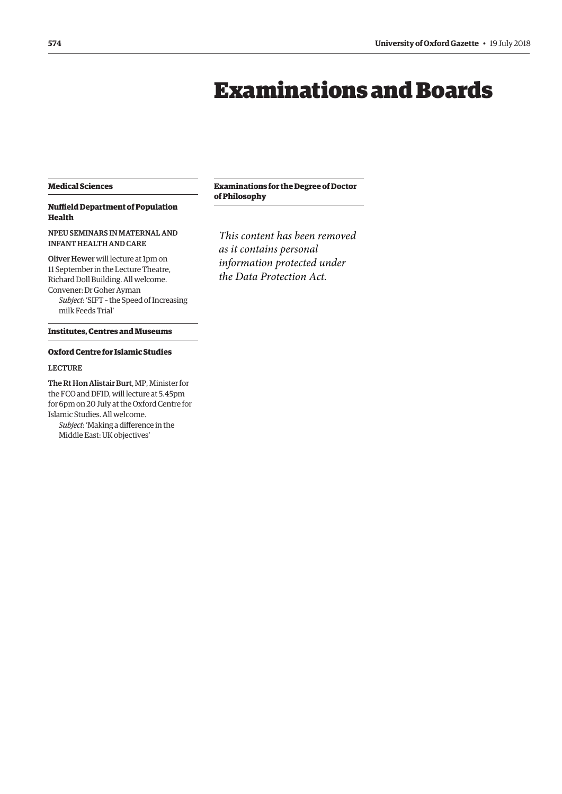## Examinations and Boards

#### <span id="page-5-0"></span>**Medical Sciences**

#### **Nuffield Department of Population Health**

#### NPEU SEMINARS IN MATERNAL AND INFANT HEALTH AND CARE

Oliver Hewer will lecture at 1pm on 11 September in the Lecture Theatre, Richard Doll Building. All welcome. Convener: Dr Goher Ayman *Subject*: 'SIFT – the Speed of Increasing milk Feeds Trial'

#### **Institutes, Centres and Museums**

#### **Oxford Centre for Islamic Studies**

#### LECTURE

The Rt Hon Alistair Burt, MP, Minister for the FCO and DFID, will lecture at 5.45pm for 6pm on 20 July at the Oxford Centre for Islamic Studies. All welcome.

*Subject*: 'Making a difference in the Middle East: UK objectives'

#### **Examinations for the Degree of Doctor of Philosophy**

*This content has been removed as it contains personal information protected under the Data Protection Act.*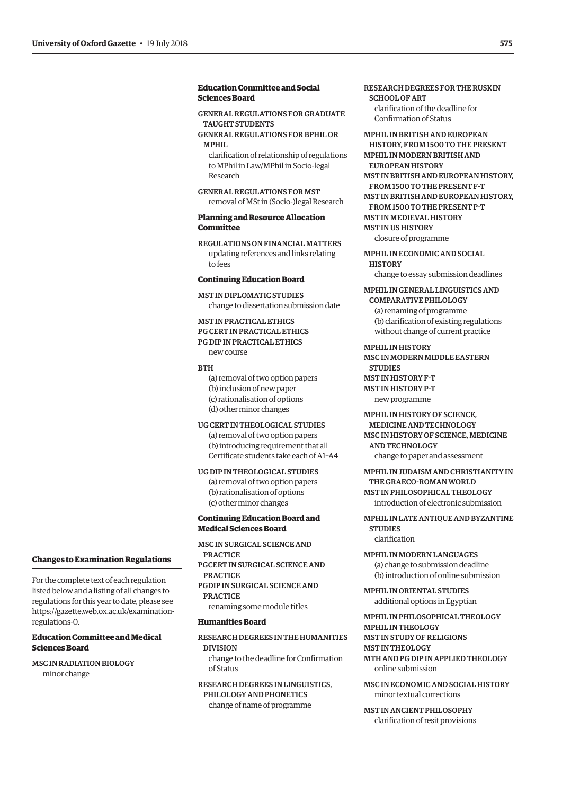#### **Education Committee and Social Sciences Board**

GENERAL REGULATIONS FOR GRADUATE TAUGHT STUDENTS

GENERAL REGULATIONS FOR BPHIL OR MPHIL

clarification of relationship of regulations to MPhil in Law/MPhil in Socio-legal Research

GENERAL REGULATIONS FOR MST removal of MSt in (Socio-)legal Research

#### **Planning and Resource Allocation Committee**

REGULATIONS ON FINANCIAL MATTERS updating references and links relating to fees

#### **Continuing Education Board**

MST IN DIPLOMATIC STUDIES change to dissertation submission date

MST IN PRACTICAL ETHICS PG CERT IN PRACTICAL ETHICS PG DIP IN PRACTICAL ETHICS new course

#### **BTH**

(a) removal of two option papers (b) inclusion of new paper (c) rationalisation of options (d) other minor changes

UG CERT IN THEOLOGICAL STUDIES

(a) removal of two option papers (b) introducing requirement that all Certificate students take each of A1–A4

#### UG DIP IN THEOLOGICAL STUDIES

(a) removal of two option papers (b) rationalisation of options (c) other minor changes

#### **Continuing Education Board and Medical Sciences Board**

MSC IN SURGICAL SCIENCE AND PRACTICE PGCERT IN SURGICAL SCIENCE AND PRACTICE

PGDIP IN SURGICAL SCIENCE AND PRACTICE

renaming some module titles

#### **Humanities Board**

#### RESEARCH DEGREES IN THE HUMANITIES DIVISION change to the deadline for Confirmation of Status

RESEARCH DEGREES IN LINGUISTICS, PHILOLOGY AND PHONETICS change of name of programme

RESEARCH DEGREES FOR THE RUSKIN SCHOOL OF ART clarification of the deadline for

Confirmation of Status

MPHIL IN BRITISH AND EUROPEAN HISTORY, FROM 1500 TO THE PRESENT MPHIL IN MODERN BRITISH AND

EUROPEAN HISTORY

MST IN BRITISH AND EUROPEAN HISTORY,

FROM 1500 TO THE PRESENT F-T

MST IN BRITISH AND EUROPEAN HISTORY, FROM 1500 TO THE PRESENT P-T MST IN MEDIEVAL HISTORY MST IN US HISTORY closure of programme

MPHIL IN ECONOMIC AND SOCIAL

**HISTORY** change to essay submission deadlines

MPHIL IN GENERAL LINGUISTICS AND

COMPAR ATIVE PHILOI OCV (a) renaming of programme (b) clarification of existing regulations without change of current practice

MPHIL IN HISTORY MSC IN MODERN MIDDLE EASTERN **STUDIES** MST IN HISTORY F-T MST IN HISTORY P-T new programme

MPHIL IN HISTORY OF SCIENCE, MEDICINE AND TECHNOLOGY MSC IN HISTORY OF SCIENCE, MEDICINE AND TECHNOLOGY change to paper and assessment

MPHIL IN JUDAISM AND CHRISTIANITY IN THE GRAECO-ROMAN WORLD MST IN PHILOSOPHICAL THEOLOGY introduction of electronic submission

MPHIL IN LATE ANTIQUE AND BYZANTINE **STUDIES** clarification

MPHIL IN MODERN LANGUAGES (a) change to submission deadline (b) introduction of online submission

MPHIL IN ORIENTAL STUDIES additional options in Egyptian

MPHIL IN PHILOSOPHICAL THEOLOGY MPHIL IN THEOLOGY MST IN STUDY OF RELIGIONS MST IN THEOLOGY MTH AND PG DIP IN APPLIED THEOLOGY online submission

MSC IN ECONOMIC AND SOCIAL HISTORY minor textual corrections

MST IN ANCIENT PHILOSOPHY clarification of resit provisions

#### **Changes to Examination Regulations**

For the complete text of each regulation listed below and a listing of all changes to regulations for this year to date, please see [https://gazette.web.ox.ac.uk/examination](https://gazette.web.ox.ac.uk/examination-regulations-0)regulations-0.

#### **Education Committee and Medical Sciences Board**

MSC IN RADIATION BIOLOGY minor change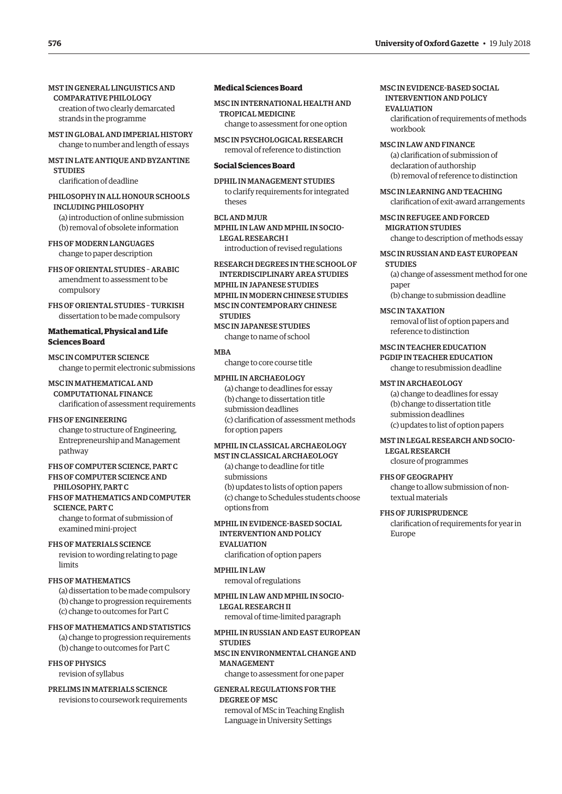- MST IN GLOBAL AND IMPERIAL HISTORY change to number and length of essays
- MST IN LATE ANTIQUE AND BYZANTINE **STUDIES**

clarification of deadline

PHILOSOPHY IN ALL HONOUR SCHOOLS INCLUDING PHILOSOPHY (a) introduction of online submission (b) removal of obsolete information

FHS OF MODERN LANGUAGES change to paper description

FHS OF ORIENTAL STUDIES – ARABIC amendment to assessment to be compulsory

FHS OF ORIENTAL STUDIES – TURKISH dissertation to be made compulsory

#### **Mathematical, Physical and Life Sciences Board**

MSC IN COMPUTER SCIENCE change to permit electronic submissions

MSC IN MATHEMATICAL AND COMPUTATIONAL FINANCE clarification of assessment requirements

FHS OF ENGINEERING change to structure of Engineering, Entrepreneurship and Management pathway

#### FHS OF COMPUTER SCIENCE, PART C FHS OF COMPUTER SCIENCE AND PHILOSOPHY, PART C

FHS OF MATHEMATICS AND COMPUTER SCIENCE, PART C change to format of submission of

examined mini-project

FHS OF MATERIALS SCIENCE revision to wording relating to page limits

#### FHS OF MATHEMATICS

(a) dissertation to be made compulsory (b) change to progression requirements (c) change to outcomes for Part C

FHS OF MATHEMATICS AND STATISTICS (a) change to progression requirements (b) change to outcomes for Part C

#### FHS OF PHYSICS revision of syllabus

## PRELIMS IN MATERIALS SCIENCE

revisions to coursework requirements

#### **Medical Sciences Board**

MSC IN INTERNATIONAL HEALTH AND TROPICAL MEDICINE change to assessment for one option

MSC IN PSYCHOLOGICAL RESEARCH removal of reference to distinction

#### **Social Sciences Board**

DPHIL IN MANAGEMENT STUDIES to clarify requirements for integrated theses

BCL AND MJUR MPHIL IN LAW AND MPHIL IN SOCIO-LEGAL RESEARCH I introduction of revised regulations

RESEARCH DEGREES IN THE SCHOOL OF INTERDISCIPLINARY AREA STUDIES

MPHIL IN JAPANESE STUDIES MPHIL IN MODERN CHINESE STUDIES

MSC IN CONTEMPORARY CHINESE

**STUDIES** MSC IN JAPANESE STUDIES

change to name of school

#### **MRA**

change to core course title

#### MPHIL IN ARCHAEOLOGY (a) change to deadlines for essay

(b) change to dissertation title submission deadlines (c) clarification of assessment methods for option papers

#### MPHIL IN CLASSICAL ARCHAEOLOGY MST IN CLASSICAL ARCHAEOLOGY

(a) change to deadline for title submissions (b) updates to lists of option papers (c) change to Schedules students choose options from

#### MPHIL IN EVIDENCE-BASED SOCIAL INTERVENTION AND POLICY

#### **EVALUATION**

clarification of option papers

#### MPHIL IN LAW

removal of regulations

#### MPHIL IN LAW AND MPHIL IN SOCIO-LEGAL RESEARCH II removal of time-limited paragraph

#### MPHIL IN RUSSIAN AND EAST EUROPEAN **STUDIES**

#### MSC IN ENVIRONMENTAL CHANGE AND MANAGEMENT

change to assessment for one paper

#### GENERAL REGULATIONS FOR THE DEGREE OF MSC

removal of MSc in Teaching English Language in University Settings

#### MSC IN EVIDENCE-BASED SOCIAL INTERVENTION AND POLICY

EVALUATION clarification of requirements of methods workbook

#### MSC IN LAW AND FINANCE

(a) clarification of submission of declaration of authorship (b) removal of reference to distinction

#### MSC IN LEARNING AND TEACHING

clarification of exit-award arrangements

MSC IN REFUGEE AND FORCED MIGRATION STUDIES

change to description of methods essay

#### MSC IN RUSSIAN AND EAST EUROPEAN

**STUDIES** (a) change of assessment method for one

paper (b) change to submission deadline

MSC IN TAXATION removal of list of option papers and reference to distinction

#### MSC IN TEACHER EDUCATION PGDIP IN TEACHER EDUCATION

change to resubmission deadline

#### MST IN ARCHAEOLOGY

(a) change to deadlines for essay (b) change to dissertation title submission deadlines (c) updates to list of option papers

### MST IN LEGAL RESEARCH AND SOCIO-

LEGAL RESEARCH closure of programmes

#### FHS OF GEOGRAPHY

change to allow submission of nontextual materials

#### FHS OF JURISPRUDENCE

clarification of requirements for year in Europe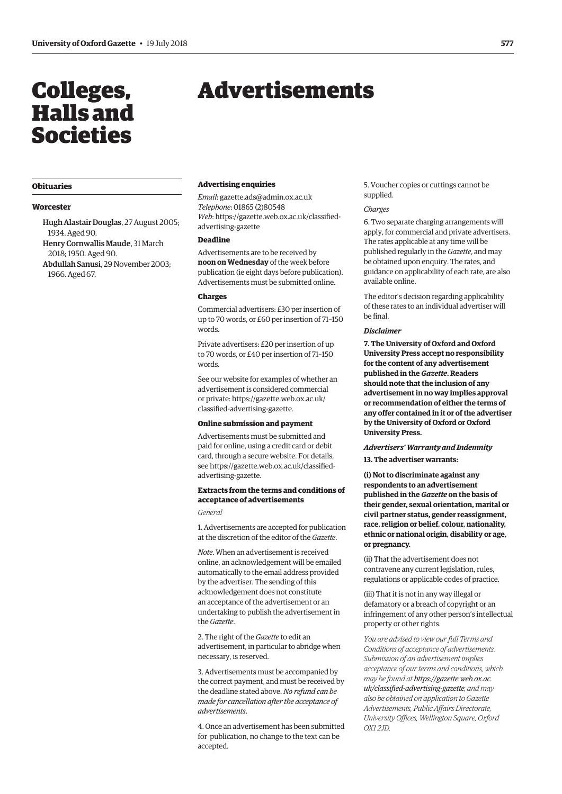## <span id="page-8-0"></span>Colleges, Halls and Societies

## Advertisements

#### **Obituaries**

#### **Worcester**

Hugh Alastair Douglas, 27 August 2005; 1934. Aged 90. Henry Cornwallis Maude, 31 March

2018; 1950. Aged 90. Abdullah Sanusi, 29 November 2003; 1966. Aged 67.

#### **Advertising enquiries**

*Email*: [gazette.ads@admin.ox.ac.uk](mailto:gazette.ads@admin.ox.ac.uk) *Telephone*: 01865 (2)80548 *Web*[: https://gazette.web.ox.ac.uk/classified](https://gazette.web.ox.ac.uk/classified-advertising-gazette)advertising-gazette

#### **Deadline**

Advertisements are to be received by **noon on Wednesday** of the week before publication (ie eight days before publication). Advertisements must be submitted online.

#### **Charges**

Commercial advertisers: £30 per insertion of up to 70 words, or £60 per insertion of 71–150 words.

Private advertisers: £20 per insertion of up to 70 words, or £40 per insertion of 71–150 words.

See our website for examples of whether an advertisement is considered commercial [or private: https://gazette.web.ox.ac.uk/](https://gazette.web.ox.ac.uk/classified-advertising-gazette) classified-advertising-gazette.

#### **Online submission and payment**

Advertisements must be submitted and paid for online, using a credit card or debit card, through a secure website. For details, [see https://gazette.web.ox.ac.uk/classified](https://gazette.web.ox.ac.uk/classified-advertising-gazette)advertising-gazette.

#### **Extracts from the terms and conditions of acceptance of advertisements**

*General*

1. Advertisements are accepted for publication at the discretion of the editor of the *Gazette*.

*Note*. When an advertisement is received online, an acknowledgement will be emailed automatically to the email address provided by the advertiser. The sending of this acknowledgement does not constitute an acceptance of the advertisement or an undertaking to publish the advertisement in the *Gazette*.

2. The right of the *Gazette* to edit an advertisement, in particular to abridge when necessary, is reserved.

3. Advertisements must be accompanied by the correct payment, and must be received by the deadline stated above. *No refund can be made for cancellation after the acceptance of advertisements*.

4. Once an advertisement has been submitted for publication, no change to the text can be accepted.

5. Voucher copies or cuttings cannot be supplied.

#### *Charges*

6. Two separate charging arrangements will apply, for commercial and private advertisers. The rates applicable at any time will be published regularly in the *Gazette*, and may be obtained upon enquiry. The rates, and guidance on applicability of each rate, are also available online.

The editor's decision regarding applicability of these rates to an individual advertiser will be final.

#### *Disclaimer*

**7. The University of Oxford and Oxford University Press accept no responsibility for the content of any advertisement published in the** *Gazette***. Readers should note that the inclusion of any advertisement in no way implies approval or recommendation of either the terms of any offer contained in it or of the advertiser by the University of Oxford or Oxford University Press.**

#### *Advertisers' Warranty and Indemnity*

**13. The advertiser warrants:**

**(i) Not to discriminate against any respondents to an advertisement published in the** *Gazette* **on the basis of their gender, sexual orientation, marital or civil partner status, gender reassignment, race, religion or belief, colour, nationality, ethnic or national origin, disability or age, or pregnancy.**

(ii) That the advertisement does not contravene any current legislation, rules, regulations or applicable codes of practice.

(iii) That it is not in any way illegal or defamatory or a breach of copyright or an infringement of any other person's intellectual property or other rights.

*You are advised to view our full Terms and Conditions of acceptance of advertisements. Submission of an advertisement implies acceptance of our terms and conditions, which may be found at https://gazette.web.ox.ac. [uk/classified-advertising-gazette](https://gazette.web.ox.ac.uk/classified-advertising-gazette), and may also be obtained on application to Gazette Advertisements, Public Affairs Directorate, University Offices, Wellington Square, Oxford OX1 2JD.*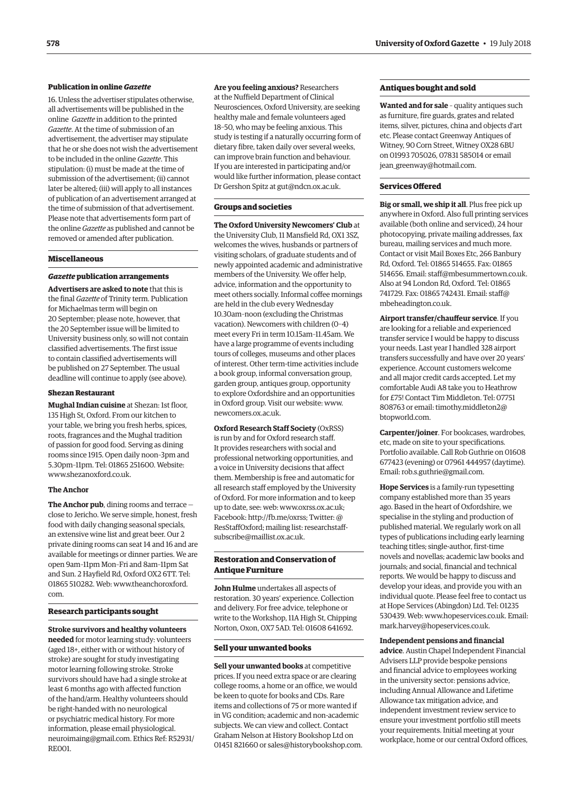#### **Publication in online** *Gazette*

16. Unless the advertiser stipulates otherwise, all advertisements will be published in the online *Gazette* in addition to the printed *Gazette*. At the time of submission of an advertisement, the advertiser may stipulate that he or she does not wish the advertisement to be included in the online *Gazette*. This stipulation: (i) must be made at the time of submission of the advertisement; (ii) cannot later be altered; (iii) will apply to all instances of publication of an advertisement arranged at the time of submission of that advertisement. Please note that advertisements form part of the online *Gazette* as published and cannot be removed or amended after publication.

#### **Miscellaneous**

#### *Gazette* **publication arrangements**

**Advertisers are asked to note** that this is the final *Gazette* of Trinity term. Publication for Michaelmas term will begin on 20 September; please note, however, that the 20 September issue will be limited to University business only, so will not contain classified advertisements. The first issue to contain classified advertisements will be published on 27 September. The usual deadline will continue to apply (see above).

#### **Shezan Restaurant**

**Mughal Indian cuisine** at Shezan: 1st floor, 135 High St, Oxford. From our kitchen to your table, we bring you fresh herbs, spices, roots, fragrances and the Mughal tradition of passion for good food. Serving as dining rooms since 1915. Open daily noon–3pm and 5.30pm–11pm. Tel: 01865 251600. Website: [www.shezanoxford.co.uk.](http://www.shezanoxford.co.uk)

#### **The Anchor**

**The Anchor pub**, dining rooms and terrace close to Jericho. We serve simple, honest, fresh food with daily changing seasonal specials, an extensive wine list and great beer. Our 2 private dining rooms can seat 14 and 16 and are available for meetings or dinner parties. We are open 9am–11pm Mon–Fri and 8am–11pm Sat and Sun. 2 Hayfield Rd, Oxford OX2 6TT. Tel: [01865 510282. Web: www.theanchoroxford.](www.theanchoroxford.com) com.

#### **Research participants sought**

**Stroke survivors and healthy volunteers needed** for motor learning study: volunteers (aged 18+, either with or without history of stroke) are sought for study investigating motor learning following stroke. Stroke survivors should have had a single stroke at least 6 months ago with affected function of the hand/arm. Healthy volunteers should be right-handed with no neurological or psychiatric medical history. For more information, please email physiological. [neuroimaing@gmail.com. Ethics Ref: R52931/](mailto:physiological.neuroimaging@gmail.com) RE001.

**Are you feeling anxious?** Researchers at the Nuffield Department of Clinical Neurosciences, Oxford University, are seeking healthy male and female volunteers aged 18–50, who may be feeling anxious. This study is testing if a naturally occurring form of dietary fibre, taken daily over several weeks, can improve brain function and behaviour. If you are interested in participating and/or would like further information, please contact Dr Gershon Spitz at [gut@ndcn.ox.ac.uk.](mailto:gut@ndcn.ox.ac.uk)

#### **Groups and societies**

**The Oxford University Newcomers' Club** at the University Club, 11 Mansfield Rd, OX1 3SZ, welcomes the wives, husbands or partners of visiting scholars, of graduate students and of newly appointed academic and administrative members of the University. We offer help, advice, information and the opportunity to meet others socially. Informal coffee mornings are held in the club every Wednesday 10.30am–noon (excluding the Christmas vacation). Newcomers with children (0–4) meet every Fri in term 10.15am–11.45am. We have a large programme of events including tours of colleges, museums and other places of interest. Other term-time activities include a book group, informal conversation group, garden group, antiques group, opportunity to explore Oxfordshire and an opportunities in Oxford group. Visit our website: [www.](http://www.newcomers.ox.ac.uk) [newcomers.ox.ac.uk.](http://www.newcomers.ox.ac.uk) 

**Oxford Research Staff Society** (OxRSS) is run by and for Oxford research staff. It provides researchers with social and professional networking opportunities, and a voice in University decisions that affect them. Membership is free and automatic for all research staff employed by the University of Oxford. For more information and to keep up to date, see: web: [www.oxrss.ox.ac.uk;](http://www.oxrss.ox.ac.uk)  Facebook: [http://fb.me/oxrss; Tw](http://fb.me/oxrss)itter: @ [ResStaffOxford; mailing list: researchstaff](mailto:researchstaff-subscribe@maillist.ox.ac.uk)subscribe@maillist.ox.ac.uk.

#### **Restoration and Conservation of Antique Furniture**

**John Hulme** undertakes all aspects of restoration. 30 years' experience. Collection and delivery. For free advice, telephone or write to the Workshop, 11A High St, Chipping Norton, Oxon, OX7 5AD. Tel: 01608 641692.

#### **Sell your unwanted books**

**Sell your unwanted books** at competitive prices. If you need extra space or are clearing college rooms, a home or an office, we would be keen to quote for books and CDs. Rare items and collections of 75 or more wanted if in VG condition; academic and non-academic subjects. We can view and collect. Contact Graham Nelson at History Bookshop Ltd on 01451 821660 or [sales@historybookshop.com.](mailto:sales@historybookshop.com)

#### **Antiques bought and sold**

**Wanted and for sale** – quality antiques such as furniture, fire guards, grates and related items, silver, pictures, china and objects d'art etc. Please contact Greenway Antiques of Witney, 90 Corn Street, Witney OX28 6BU on 01993 705026, 07831 585014 or email [jean\\_greenway@hotmail.com.](mailto:jean_greenway@hotmail.com)

#### **Services Offered**

**Big or small, we ship it all**. Plus free pick up anywhere in Oxford. Also full printing services available (both online and serviced), 24 hour photocopying, private mailing addresses, fax bureau, mailing services and much more. Contact or visit Mail Boxes Etc, 266 Banbury Rd, Oxford. Tel: 01865 514655. Fax: 01865 514656. Email: [staff@mbesummertown.co.uk.](mailto:staff@mbesummertown.co.uk)  Also at 94 London Rd, Oxford. Tel: 01865 [741729. Fax: 01865 742431. Email: staff@](mailto:staff@mbeheadington.co.uk) mbeheadington.co.uk.

**Airport transfer/chauffeur service**. If you are looking for a reliable and experienced transfer service I would be happy to discuss your needs. Last year I handled 328 airport transfers successfully and have over 20 years' experience. Account customers welcome and all major credit cards accepted. Let my comfortable Audi A8 take you to Heathrow for £75! Contact Tim Middleton. Tel: 07751 [808763 or email: timothy.middleton2@](mailto:timothy.middleton@@btopworld.com) btopworld.com.

**Carpenter/joiner**. For bookcases, wardrobes, etc, made on site to your specifications. Portfolio available. Call Rob Guthrie on 01608 677423 (evening) or 07961 444957 (daytime). Email: [rob.s.guthrie@gmail.com.](mailto:rob.s.guthrie@gmail.com) 

**Hope Services** is a family-run typesetting company established more than 35 years ago. Based in the heart of Oxfordshire, we specialise in the styling and production of published material. We regularly work on all types of publications including early learning teaching titles; single-author, first-time novels and novellas; academic law books and journals; and social, financial and technical reports. We would be happy to discuss and develop your ideas, and provide you with an individual quote. Please feel free to contact us at Hope Services (Abingdon) Ltd. Tel: 01235 530439. Web: [www.hopeservices.co.uk. Em](http://www.hopeservices.co.uk)ail: [mark.harvey@hopeservices.co.uk.](mailto:mark.harvey@hopeservices.co.uk)

#### **Independent pensions and financial**

**advice**. Austin Chapel Independent Financial Advisers LLP provide bespoke pensions and financial advice to employees working in the university sector: pensions advice, including Annual Allowance and Lifetime Allowance tax mitigation advice, and independent investment review service to ensure your investment portfolio still meets your requirements. Initial meeting at your workplace, home or our central Oxford offices,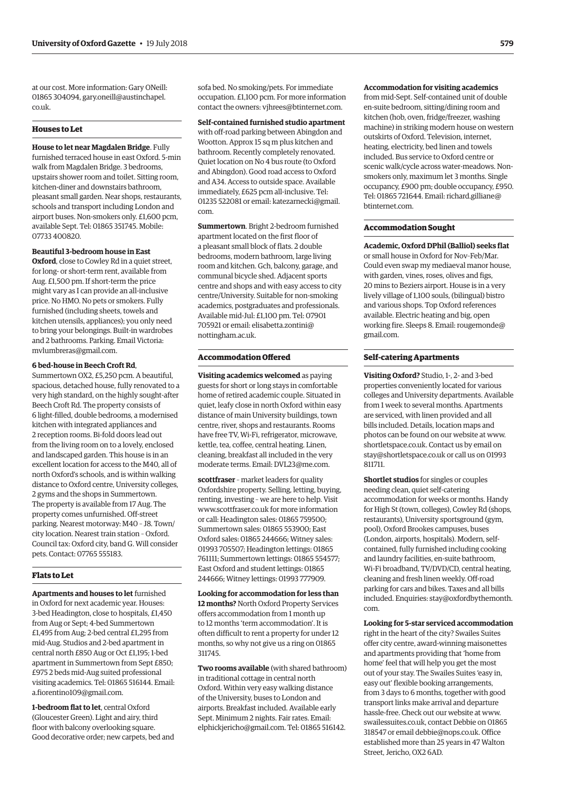at our cost. More information: Gary ONeill: [01865 304094, gary.oneill@austinchapel.](mailto:gary.oneill@austinchapel.co.uk) co.uk.

#### **Houses to Let**

**House to let near Magdalen Bridge**. Fully furnished terraced house in east Oxford. 5-min walk from Magdalen Bridge. 3 bedrooms, upstairs shower room and toilet. Sitting room, kitchen-diner and downstairs bathroom, pleasant small garden. Near shops, restaurants, schools and transport including London and airport buses. Non-smokers only. £1,600 pcm, available Sept. Tel: 01865 351745. Mobile: 07733 400820.

#### **Beautiful 3-bedroom house in East**

**Oxford**, close to Cowley Rd in a quiet street, for long- or short-term rent, available from Aug. £1,500 pm. If short-term the price might vary as I can provide an all-inclusive price. No HMO. No pets or smokers. Fully furnished (including sheets, towels and kitchen utensils, appliances); you only need to bring your belongings. Built-in wardrobes and 2 bathrooms. Parking. Email Victoria: [mvlumbreras@gmail.com.](mailto:mvlumbreras@gmail.com)

#### **6 bed-house in Beech Croft Rd**,

Summertown OX2, £5,250 pcm. A beautiful, spacious, detached house, fully renovated to a very high standard, on the highly sought-after Beech Croft Rd. The property consists of 6 light-filled, double bedrooms, a modernised kitchen with integrated appliances and 2 reception rooms. Bi-fold doors lead out from the living room on to a lovely, enclosed and landscaped garden. This house is in an excellent location for access to the M40, all of north Oxford's schools, and is within walking distance to Oxford centre, University colleges, 2 gyms and the shops in Summertown. The property is available from 17 Aug. The property comes unfurnished. Off-street parking. Nearest motorway: M40 – J8. Town/ city location. Nearest train station – Oxford. Council tax: Oxford city, band G. Will consider pets. Contact: 07765 555183.

#### **Flats to Let**

**Apartments and houses to let** furnished in Oxford for next academic year. Houses: 3-bed Headington, close to hospitals, £1,450 from Aug or Sept; 4-bed Summertown £1,495 from Aug; 2-bed central £1,295 from mid-Aug. Studios and 2-bed apartment in central north £850 Aug or Oct £1,195; 1-bed apartment in Summertown from Sept £850; £975 2 beds mid-Aug suited professional visiting academics. Tel: 01865 516144. Email: [a.fiorentino109@gmail.com.](mailto:a.fiorentino109@gmail.com)

**1-bedroom flat to let**, central Oxford (Gloucester Green). Light and airy, third floor with balcony overlooking square. Good decorative order; new carpets, bed and sofa bed. No smoking/pets. For immediate occupation. £1,100 pcm. For more information contact the owners: [vjhrees@btinternet.com.](mailto:vjhrees@btinternet.com) 

**Self-contained furnished studio apartment** with off-road parking between Abingdon and Wootton. Approx 15 sq m plus kitchen and bathroom. Recently completely renovated. Quiet location on No 4 bus route (to Oxford and Abingdon). Good road access to Oxford and A34. Access to outside space. Available immediately, £625 pcm all-inclusive. Tel: [01235 522081 or email: katezarnecki@gmail.](mailto:katezarnecki@gmail.com) com.

**Summertown**. Bright 2-bedroom furnished apartment located on the first floor of a pleasant small block of flats. 2 double bedrooms, modern bathroom, large living room and kitchen. Gch, balcony, garage, and communal bicycle shed. Adjacent sports centre and shops and with easy access to city centre/University. Suitable for non-smoking academics, postgraduates and professionals. Available mid-Jul: £1,100 pm. Tel: 07901 [705921 or email: elisabetta.zontini@](mailto:elisabetta.zontini@nottingham.ac.uk) nottingham.ac.uk.

#### **Accommodation Offered**

**Visiting academics welcomed** as paying guests for short or long stays in comfortable home of retired academic couple. Situated in quiet, leafy close in north Oxford within easy distance of main University buildings, town centre, river, shops and restaurants. Rooms have free TV, Wi-Fi, refrigerator, microwave, kettle, tea, coffee, central heating. Linen, cleaning, breakfast all included in the very moderate terms. Email: [DVL23@me.com.](mailto:DVL23@me.com)

**scottfraser** - market leaders for quality Oxfordshire property. Selling, letting, buying, renting, investing – we are here to help. Visit [www.scottfraser.co.uk fo](http://www.scottfraser.co.uk)r more information or call: Headington sales: 01865 759500; Summertown sales: 01865 553900; East Oxford sales: 01865 244666; Witney sales: 01993 705507; Headington lettings: 01865 761111; Summertown lettings: 01865 554577; East Oxford and student lettings: 01865 244666; Witney lettings: 01993 777909.

**Looking for accommodation for less than 12 months?** North Oxford Property Services offers accommodation from 1 month up to 12 months 'term accommodation'. It is often difficult to rent a property for under 12 months, so why not give us a ring on 01865 311745.

**Two rooms available** (with shared bathroom) in traditional cottage in central north Oxford. Within very easy walking distance of the University, buses to London and airports. Breakfast included. Available early Sept. Minimum 2 nights. Fair rates. Email: [elphickjericho@gmail.com. Te](mailto:elphickjericho@gmail.com)l: 01865 516142.

#### **Accommodation for visiting academics**

from mid-Sept. Self-contained unit of double en-suite bedroom, sitting/dining room and kitchen (hob, oven, fridge/freezer, washing machine) in striking modern house on western outskirts of Oxford. Television, internet, heating, electricity, bed linen and towels included. Bus service to Oxford centre or scenic walk/cycle across water-meadows. Nonsmokers only, maximum let 3 months. Single occupancy, £900 pm; double occupancy, £950. [Tel: 01865 721644. Email: richard.gilliane@](mailto:richard.gilliane@btinternet.com) btinternet.com.

#### **Accommodation Sought**

**Academic, Oxford DPhil (Balliol) seeks flat**  or small house in Oxford for Nov–Feb/Mar. Could even swap my mediaeval manor house, with garden, vines, roses, olives and figs, 20 mins to Beziers airport. House is in a very lively village of 1,100 souls, (bilingual) bistro and various shops. Top Oxford references available. Electric heating and big, open [working fire. Sleeps 8. Email: rougemonde@](rougemonde@gmail.com) gmail.com.

#### **Self-catering Apartments**

**Visiting Oxford?** Studio, 1-, 2- and 3-bed properties conveniently located for various colleges and University departments. Available from 1 week to several months. Apartments are serviced, with linen provided and all bills included. Details, location maps and photos can be found on our website at [www.](http://www.shortletspace.co.uk) [shortletspace.co.uk. Co](http://www.shortletspace.co.uk)ntact us by email on [stay@shortletspace.co.uk or](mailto:stay@shortletspace.co.uk) call us on 01993 811711.

**Shortlet studios** for singles or couples needing clean, quiet self-catering accommodation for weeks or months. Handy for High St (town, colleges), Cowley Rd (shops, restaurants), University sportsground (gym, pool), Oxford Brookes campuses, buses (London, airports, hospitals). Modern, selfcontained, fully furnished including cooking and laundry facilities, en-suite bathroom, Wi-Fi broadband, TV/DVD/CD, central heating, cleaning and fresh linen weekly. Off-road parking for cars and bikes. Taxes and all bills [included. Enquiries: stay@oxfordbythemonth.](mailto:stay@oxfordbythemonth.com) com.

#### **Looking for 5-star serviced accommodation**

right in the heart of the city? Swailes Suites offer city centre, award-winning maisonettes and apartments providing that 'home from home' feel that will help you get the most out of your stay. The Swailes Suites 'easy in, easy out' flexible booking arrangements, from 3 days to 6 months, together with good transport links make arrival and departure hassle-free. Check out our website at [www.](http://www.swailessuites.co.uk) [swailessuites.co.uk, co](http://www.swailessuites.co.uk)ntact Debbie on 01865 318547 or email [debbie@nops.co.uk. Of](mailto:debbie@nops.co.uk)fice established more than 25 years in 47 Walton Street, Jericho, OX2 6AD.